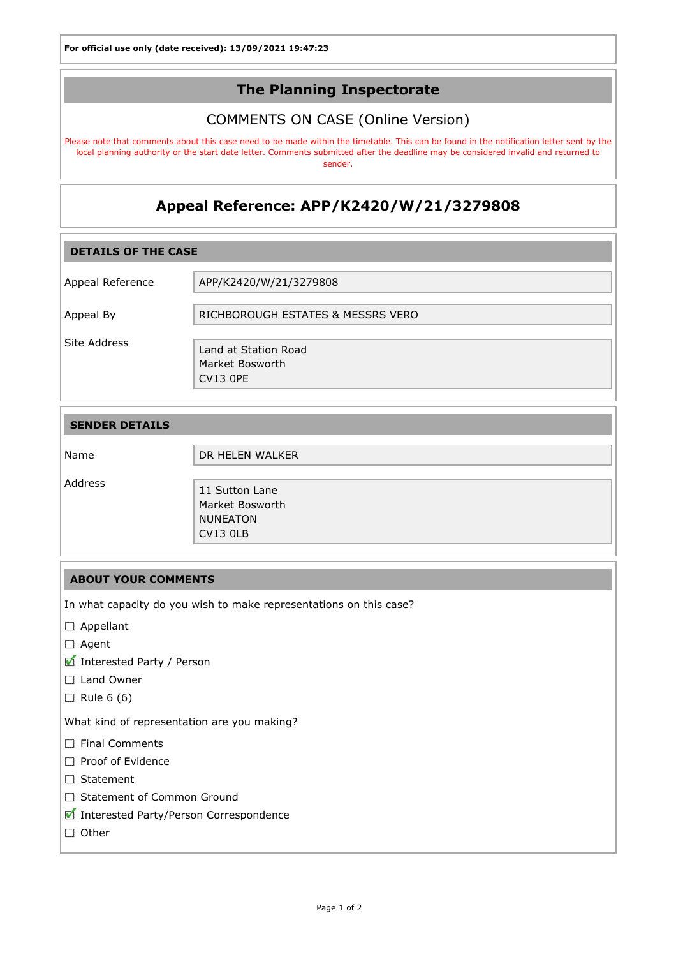## The Planning Inspectorate

## COMMENTS ON CASE (Online Version)

Please note that comments about this case need to be made within the timetable. This can be found in the notification letter sent by the local planning authority or the start date letter. Comments submitted after the deadline may be considered invalid and returned to sender.

# Appeal Reference: APP/K2420/W/21/3279808

| <b>DETAILS OF THE CASE</b> |                                                            |
|----------------------------|------------------------------------------------------------|
| Appeal Reference           | APP/K2420/W/21/3279808                                     |
| Appeal By                  | RICHBOROUGH ESTATES & MESSRS VERO                          |
| Site Address               | Land at Station Road<br>Market Bosworth<br><b>CV13 OPE</b> |

| <b>SENDER DETAILS</b> |                 |
|-----------------------|-----------------|
|                       |                 |
| Name                  | DR HELEN WALKER |
| Address               | 11 Sutton Lane  |
|                       | Market Bosworth |
|                       | <b>NUNEATON</b> |
|                       | <b>CV13 0LB</b> |

### ABOUT YOUR COMMENTS

In what capacity do you wish to make representations on this case?

- □ Appellant
- □ Agent
- Interested Party / Person
- □ Land Owner
- $\Box$  Rule 6 (6)

What kind of representation are you making?

- $\Box$  Final Comments
- Proof of Evidence
- Statement
- □ Statement of Common Ground
- Interested Party/Person Correspondence
- $\Box$  Other